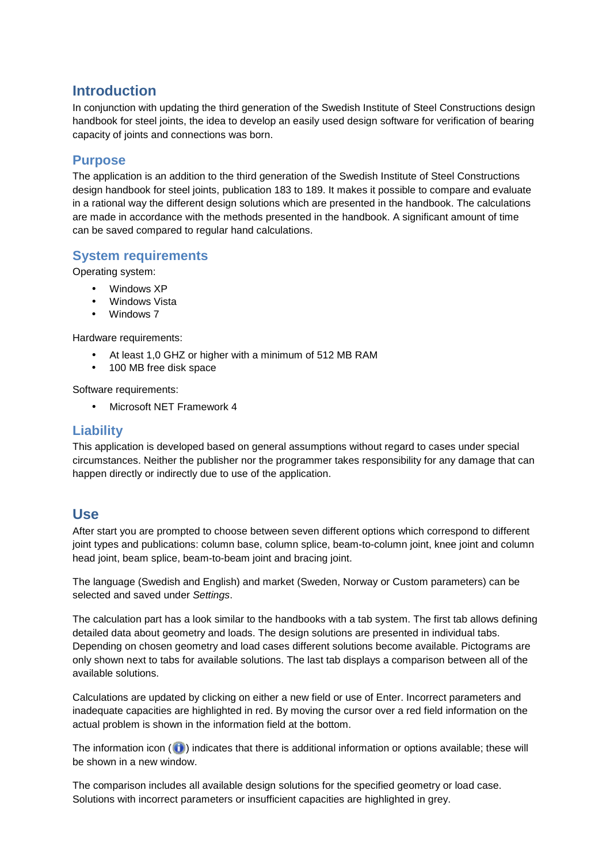## **Introduction**

In conjunction with updating the third generation of the Swedish Institute of Steel Constructions design handbook for steel joints, the idea to develop an easily used design software for verification of bearing capacity of joints and connections was born.

### **Purpose**

The application is an addition to the third generation of the Swedish Institute of Steel Constructions design handbook for steel joints, publication 183 to 189. It makes it possible to compare and evaluate in a rational way the different design solutions which are presented in the handbook. The calculations are made in accordance with the methods presented in the handbook. A significant amount of time can be saved compared to regular hand calculations.

### **System requirements**

Operating system:

- Windows XP
- Windows Vista
- Windows 7

Hardware requirements:

- At least 1,0 GHZ or higher with a minimum of 512 MB RAM
- 100 MB free disk space

Software requirements:

• Microsoft NET Framework 4

#### **Liability**

This application is developed based on general assumptions without regard to cases under special circumstances. Neither the publisher nor the programmer takes responsibility for any damage that can happen directly or indirectly due to use of the application.

### **Use**

After start you are prompted to choose between seven different options which correspond to different joint types and publications: column base, column splice, beam-to-column joint, knee joint and column head joint, beam splice, beam-to-beam joint and bracing joint.

The language (Swedish and English) and market (Sweden, Norway or Custom parameters) can be selected and saved under Settings.

The calculation part has a look similar to the handbooks with a tab system. The first tab allows defining detailed data about geometry and loads. The design solutions are presented in individual tabs. Depending on chosen geometry and load cases different solutions become available. Pictograms are only shown next to tabs for available solutions. The last tab displays a comparison between all of the available solutions.

Calculations are updated by clicking on either a new field or use of Enter. Incorrect parameters and inadequate capacities are highlighted in red. By moving the cursor over a red field information on the actual problem is shown in the information field at the bottom.

The information icon  $\left( \bullet \right)$  indicates that there is additional information or options available; these will be shown in a new window.

The comparison includes all available design solutions for the specified geometry or load case. Solutions with incorrect parameters or insufficient capacities are highlighted in grey.